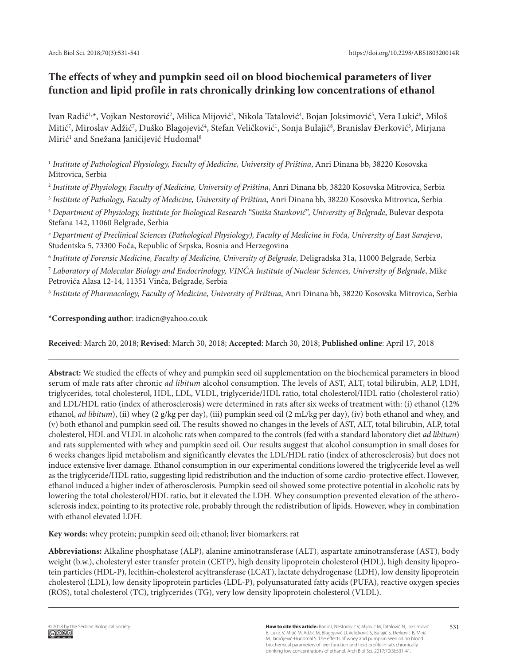# **The effects of whey and pumpkin seed oil on blood biochemical parameters of liver function and lipid profile in rats chronically drinking low concentrations of ethanol**

Ivan Radić<sup>1,</sup>\*, Vojkan Nestorović<sup>2</sup>, Milica Mijović<sup>3</sup>, Nikola Tatalović<sup>4</sup>, Bojan Joksimović<sup>5</sup>, Vera Lukić<sup>6</sup>, Miloš Mitić<sup>7</sup>, Miroslav Adžić<sup>7</sup>, Duško Blagojević<sup>4</sup>, Stefan Veličković<sup>1</sup>, Sonja Bulajić<sup>8</sup>, Branislav Đerković<sup>3</sup>, Mirjana Mirić<sup>1</sup> and Snežana Janićijević Hudomal<sup>8</sup>

<sup>1</sup> *Institute of Pathological Physiology, Faculty of Medicine, University of Priština*, Anri Dinana bb, 38220 Kosovska Mitrovica, Serbia

<sup>2</sup> *Institute of Physiology, Faculty of Medicine, University of Priština*, Anri Dinana bb, 38220 Kosovska Mitrovica, Serbia

<sup>3</sup> *Institute of Pathology, Faculty of Medicine, University of Priština*, Anri Dinana bb, 38220 Kosovska Mitrovica, Serbia

<sup>4</sup> *Department of Physiology, Institute for Biological Research "Siniša Stanković", University of Belgrade*, Bulevar despota Stefana 142, 11060 Belgrade, Serbia

<sup>5</sup> *Department of Preclinical Sciences (Pathological Physiology), Faculty of Medicine in Foča, University of East Sarajevo*, Studentska 5, 73300 Foča, Republic of Srpska, Bosnia and Herzegovina

<sup>6</sup> *Institute of Forensic Medicine, Faculty of Medicine, University of Belgrade*, Deligradska 31a, 11000 Belgrade, Serbia

<sup>7</sup> *Laboratory of Molecular Biology and Endocrinology, VINČA Institute of Nuclear Sciences, University of Belgrade*, Mike Petrovića Alasa 12-14, 11351 Vinča, Belgrade, Serbia

<sup>8</sup> *Institute of Pharmacology, Faculty of Medicine, University of Priština*, Anri Dinana bb, 38220 Kosovska Mitrovica, Serbia

**\*Corresponding author**: iradicn@yahoo.co.uk

**Received**: March 20, 2018; **Revised**: March 30, 2018; **Accepted**: March 30, 2018; **Published online**: April 17, 2018

**Abstract:** We studied the effects of whey and pumpkin seed oil supplementation on the biochemical parameters in blood serum of male rats after chronic *ad libitum* alcohol consumption. The levels of AST, ALT, total bilirubin, ALP, LDH, triglycerides, total cholesterol, HDL, LDL, VLDL, triglyceride/HDL ratio, total cholesterol/HDL ratio (cholesterol ratio) and LDL/HDL ratio (index of atherosclerosis) were determined in rats after six weeks of treatment with: (i) ethanol (12% ethanol, *ad libitum*), (ii) whey (2 g/kg per day), (iii) pumpkin seed oil (2 mL/kg per day), (iv) both ethanol and whey, and (v) both ethanol and pumpkin seed oil. The results showed no changes in the levels of AST, ALT, total bilirubin, ALP, total cholesterol, HDL and VLDL in alcoholic rats when compared to the controls (fed with a standard laboratory diet *ad libitum*) and rats supplemented with whey and pumpkin seed oil. Our results suggest that alcohol consumption in small doses for 6 weeks changes lipid metabolism and significantly elevates the LDL/HDL ratio (index of atherosclerosis) but does not induce extensive liver damage. Ethanol consumption in our experimental conditions lowered the triglyceride level as well as the triglyceride/HDL ratio, suggesting lipid redistribution and the induction of some cardio-protective effect. However, ethanol induced a higher index of atherosclerosis. Pumpkin seed oil showed some protective potential in alcoholic rats by lowering the total cholesterol/HDL ratio, but it elevated the LDH. Whey consumption prevented elevation of the atherosclerosis index, pointing to its protective role, probably through the redistribution of lipids. However, whey in combination with ethanol elevated LDH.

**Key words:** whey protein; pumpkin seed oil; ethanol; liver biomarkers; rat

**Abbreviations:** Alkaline phosphatase (ALP), alanine aminotransferase (ALT), aspartate aminotransferase (AST), body weight (b.w.), cholesteryl ester transfer protein (CETP), high density lipoprotein cholesterol (HDL), high density lipoprotein particles (HDL-P), lecithin-cholesterol acyltransferase (LCAT), lactate dehydrogenase (LDH), low density lipoprotein cholesterol (LDL), low density lipoprotein particles (LDL-P), polyunsaturated fatty acids (PUFA), reactive oxygen species (ROS), total cholesterol (TC), triglycerides (TG), very low density lipoprotein cholesterol (VLDL).

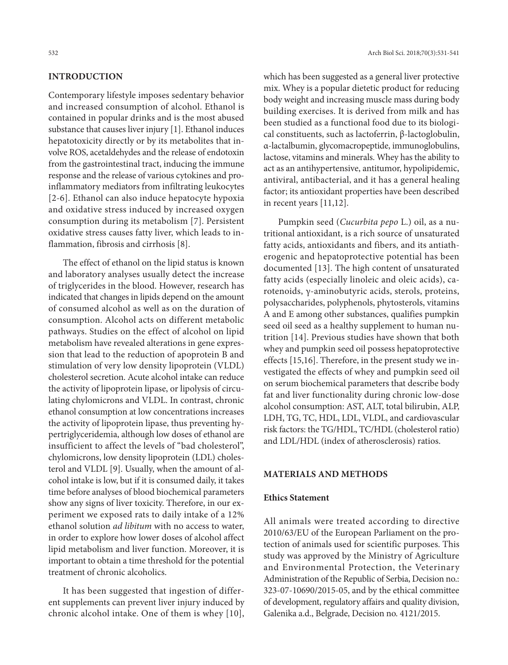## **INTRODUCTION**

Contemporary lifestyle imposes sedentary behavior and increased consumption of alcohol. Ethanol is contained in popular drinks and is the most abused substance that causes liver injury [1]. Ethanol induces hepatotoxicity directly or by its metabolites that involve ROS, acetaldehydes and the release of endotoxin from the gastrointestinal tract, inducing the immune response and the release of various cytokines and proinflammatory mediators from infiltrating leukocytes [2-6]. Ethanol can also induce hepatocyte hypoxia and oxidative stress induced by increased oxygen consumption during its metabolism [7]. Persistent oxidative stress causes fatty liver, which leads to inflammation, fibrosis and cirrhosis [8].

The effect of ethanol on the lipid status is known and laboratory analyses usually detect the increase of triglycerides in the blood. However, research has indicated that changes in lipids depend on the amount of consumed alcohol as well as on the duration of consumption. Alcohol acts on different metabolic pathways. Studies on the effect of alcohol on lipid metabolism have revealed alterations in gene expression that lead to the reduction of apoprotein B and stimulation of very low density lipoprotein (VLDL) cholesterol secretion. Acute alcohol intake can reduce the activity of lipoprotein lipase, or lipolysis of circulating chylomicrons and VLDL. In contrast, chronic ethanol consumption at low concentrations increases the activity of lipoprotein lipase, thus preventing hypertriglyceridemia, although low doses of ethanol are insufficient to affect the levels of "bad cholesterol", chylomicrons, low density lipoprotein (LDL) cholesterol and VLDL [9]. Usually, when the amount of alcohol intake is low, but if it is consumed daily, it takes time before analyses of blood biochemical parameters show any signs of liver toxicity. Therefore, in our experiment we exposed rats to daily intake of a 12% ethanol solution *ad libitum* with no access to water, in order to explore how lower doses of alcohol affect lipid metabolism and liver function. Moreover, it is important to obtain a time threshold for the potential treatment of chronic alcoholics.

It has been suggested that ingestion of different supplements can prevent liver injury induced by chronic alcohol intake. One of them is whey [10],

which has been suggested as a general liver protective mix. Whey is a popular dietetic product for reducing body weight and increasing muscle mass during body building exercises. It is derived from milk and has been studied as a functional food due to its biological constituents, such as lactoferrin, β-lactoglobulin, α-lactalbumin, glycomacropeptide, immunoglobulins, lactose, vitamins and minerals. Whey has the ability to act as an antihypertensive, antitumor, hypolipidemic, antiviral, antibacterial, and it has a general healing factor; its antioxidant properties have been described in recent years [11,12].

Pumpkin seed (*Cucurbita pepo* L.) oil, as a nutritional antioxidant, is a rich source of unsaturated fatty acids, antioxidants and fibers, and its antiatherogenic and hepatoprotective potential has been documented [13]. The high content of unsaturated fatty acids (especially linoleic and oleic acids), carotenoids, γ-aminobutyric acids, sterols, proteins, polysaccharides, polyphenols, phytosterols, vitamins A and E among other substances, qualifies pumpkin seed oil seed as a healthy supplement to human nutrition [14]. Previous studies have shown that both whey and pumpkin seed oil possess hepatoprotective effects [15,16]. Therefore, in the present study we investigated the effects of whey and pumpkin seed oil on serum biochemical parameters that describe body fat and liver functionality during chronic low-dose alcohol consumption: AST, ALT, total bilirubin, ALP, LDH, TG, TC, HDL, LDL, VLDL, and cardiovascular risk factors: the TG/HDL, TC/HDL (cholesterol ratio) and LDL/HDL (index of atherosclerosis) ratios.

### **MATERIALS AND METHODS**

### **Ethics Statement**

All animals were treated according to directive 2010/63/EU of the European Parliament on the protection of animals used for scientific purposes. This study was approved by the Ministry of Agriculture and Environmental Protection, the Veterinary Administration of the Republic of Serbia, Decision no.: 323-07-10690/2015-05, and by the ethical committee of development, regulatory affairs and quality division, Galenika a.d., Belgrade, Decision no. 4121/2015.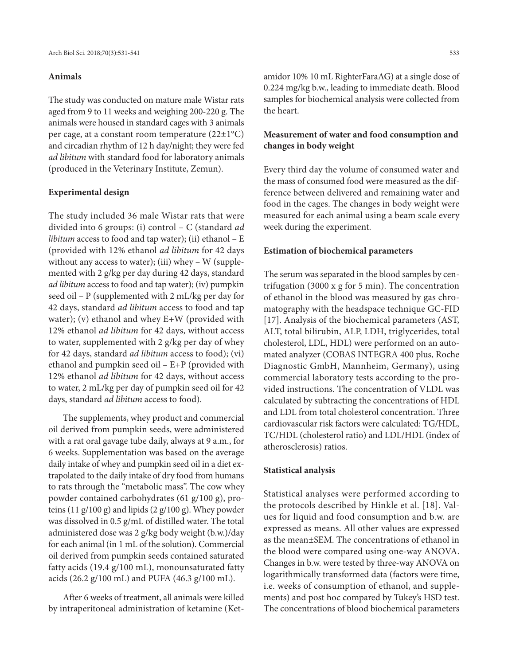## **Animals**

The study was conducted on mature male Wistar rats aged from 9 to 11 weeks and weighing 200-220 g. The animals were housed in standard cages with 3 animals per cage, at a constant room temperature (22±1°C) and circadian rhythm of 12 h day/night; they were fed *ad libitum* with standard food for laboratory animals (produced in the Veterinary Institute, Zemun).

#### **Experimental design**

The study included 36 male Wistar rats that were divided into 6 groups: (i) control – C (standard *ad libitum* access to food and tap water); (ii) ethanol – E (provided with 12% ethanol *ad libitum* for 42 days without any access to water); (iii) whey  $-$  W (supplemented with 2 g/kg per day during 42 days, standard *ad libitum* access to food and tap water); (iv) pumpkin seed oil – P (supplemented with 2 mL/kg per day for 42 days, standard *ad libitum* access to food and tap water); (v) ethanol and whey E+W (provided with 12% ethanol *ad libitum* for 42 days, without access to water, supplemented with 2 g/kg per day of whey for 42 days, standard *ad libitum* access to food); (vi) ethanol and pumpkin seed oil – E+P (provided with 12% ethanol *ad libitum* for 42 days, without access to water, 2 mL/kg per day of pumpkin seed oil for 42 days, standard *ad libitum* access to food).

The supplements, whey product and commercial oil derived from pumpkin seeds, were administered with a rat oral gavage tube daily, always at 9 a.m., for 6 weeks. Supplementation was based on the average daily intake of whey and pumpkin seed oil in a diet extrapolated to the daily intake of dry food from humans to rats through the "metabolic mass". The cow whey powder contained carbohydrates (61 g/100 g), proteins (11 g/100 g) and lipids (2 g/100 g). Whey powder was dissolved in 0.5 g/mL of distilled water. The total administered dose was 2 g/kg body weight (b.w.)/day for each animal (in 1 mL of the solution). Commercial oil derived from pumpkin seeds contained saturated fatty acids (19.4 g/100 mL), monounsaturated fatty acids (26.2 g/100 mL) and PUFA (46.3 g/100 mL).

After 6 weeks of treatment, all animals were killed by intraperitoneal administration of ketamine (Ket-

amidor 10% 10 mL RighterFaraAG) at a single dose of 0.224 mg/kg b.w., leading to immediate death. Blood samples for biochemical analysis were collected from the heart.

# **Measurement of water and food consumption and changes in body weight**

Every third day the volume of consumed water and the mass of consumed food were measured as the difference between delivered and remaining water and food in the cages. The changes in body weight were measured for each animal using a beam scale every week during the experiment.

#### **Estimation of biochemical parameters**

The serum was separated in the blood samples by centrifugation (3000 x g for 5 min). The concentration of ethanol in the blood was measured by gas chromatography with the headspace technique GC-FID [17]. Analysis of the biochemical parameters (AST, ALT, total bilirubin, ALP, LDH, triglycerides, total cholesterol, LDL, HDL) were performed on an automated analyzer (COBAS INTEGRA 400 plus, Roche Diagnostic GmbH, Mannheim, Germany), using commercial laboratory tests according to the provided instructions. The concentration of VLDL was calculated by subtracting the concentrations of HDL and LDL from total cholesterol concentration. Three cardiovascular risk factors were calculated: TG/HDL, TC/HDL (cholesterol ratio) and LDL/HDL (index of atherosclerosis) ratios.

#### **Statistical analysis**

Statistical analyses were performed according to the protocols described by Hinkle et al. [18]. Values for liquid and food consumption and b.w. are expressed as means. All other values are expressed as the mean±SEM. The concentrations of ethanol in the blood were compared using one-way ANOVA. Changes in b.w. were tested by three-way ANOVA on logarithmically transformed data (factors were time, i.e. weeks of consumption of ethanol, and supplements) and post hoc compared by Tukey's HSD test. The concentrations of blood biochemical parameters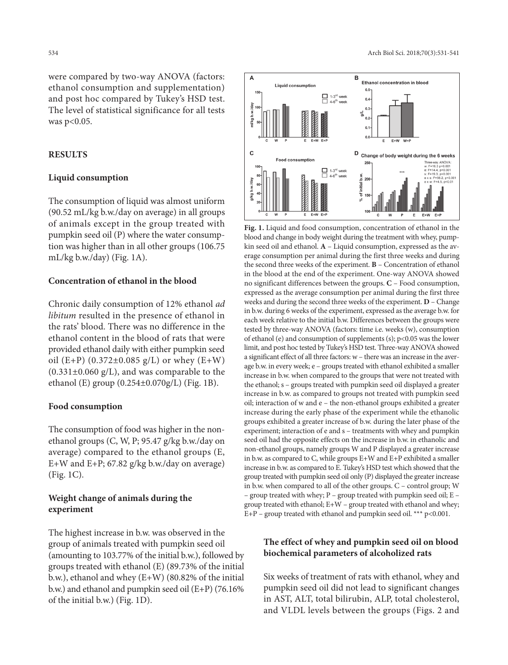were compared by two-way ANOVA (factors: ethanol consumption and supplementation) and post hoc compared by Tukey's HSD test. The level of statistical significance for all tests was p<0.05.

## **RESULTS**

## **Liquid consumption**

The consumption of liquid was almost uniform (90.52 mL/kg b.w./day on average) in all groups of animals except in the group treated with pumpkin seed oil (P) where the water consumption was higher than in all other groups (106.75 mL/kg b.w./day) (Fig. 1A).

## **Concentration of ethanol in the blood**

Chronic daily consumption of 12% ethanol *ad libitum* resulted in the presence of ethanol in the rats' blood. There was no difference in the ethanol content in the blood of rats that were provided ethanol daily with either pumpkin seed oil (E+P)  $(0.372 \pm 0.085 \text{ g/L})$  or whey (E+W)  $(0.331\pm0.060 \text{ g/L})$ , and was comparable to the ethanol (E) group (0.254±0.070g/L) (Fig. 1B).

#### **Food consumption**

The consumption of food was higher in the nonethanol groups (C, W, P; 95.47 g/kg b.w./day on average) compared to the ethanol groups (E, E+W and E+P; 67.82 g/kg b.w./day on average) (Fig. 1C).

# **Weight change of animals during the experiment**

The highest increase in b.w. was observed in the group of animals treated with pumpkin seed oil (amounting to 103.77% of the initial b.w.), followed by groups treated with ethanol (E) (89.73% of the initial b.w.), ethanol and whey (E+W) (80.82% of the initial b.w.) and ethanol and pumpkin seed oil (E+P) (76.16% of the initial b.w.) (Fig. 1D).





**Fig. 1.** Liquid and food consumption, concentration of ethanol in the blood and change in body weight during the treatment with whey, pumpkin seed oil and ethanol. **A** – Liquid consumption, expressed as the average consumption per animal during the first three weeks and during the second three weeks of the experiment. **B** – Concentration of ethanol in the blood at the end of the experiment. One-way ANOVA showed no significant differences between the groups. **C** – Food consumption, expressed as the average consumption per animal during the first three weeks and during the second three weeks of the experiment. **D** – Change in b.w. during 6 weeks of the experiment, expressed as the average b.w. for each week relative to the initial b.w. Differences between the groups were tested by three-way ANOVA (factors: time i.e. weeks (w), consumption of ethanol (e) and consumption of supplements (s);  $p<0.05$  was the lower limit, and post hoc tested by Tukey's HSD test. Three-way ANOVA showed a significant effect of all three factors: w – there was an increase in the average b.w. in every week; e – groups treated with ethanol exhibited a smaller increase in b.w. when compared to the groups that were not treated with the ethanol; s – groups treated with pumpkin seed oil displayed a greater increase in b.w. as compared to groups not treated with pumpkin seed oil; interaction of w and e – the non-ethanol groups exhibited a greater increase during the early phase of the experiment while the ethanolic groups exhibited a greater increase of b.w. during the later phase of the experiment; interaction of e and s – treatments with whey and pumpkin seed oil had the opposite effects on the increase in b.w. in ethanolic and non-ethanol groups, namely groups W and P displayed a greater increase in b.w. as compared to C, while groups E+W and E+P exhibited a smaller increase in b.w. as compared to E. Tukey's HSD test which showed that the group treated with pumpkin seed oil only (P) displayed the greater increase in b.w. when compared to all of the other groups. C – control group; W – group treated with whey; P – group treated with pumpkin seed oil; E – group treated with ethanol; E+W – group treated with ethanol and whey;  $E+P$  – group treated with ethanol and pumpkin seed oil. \*\*\*  $p<0.001$ .

# **The effect of whey and pumpkin seed oil on blood biochemical parameters of alcoholized rats**

Six weeks of treatment of rats with ethanol, whey and pumpkin seed oil did not lead to significant changes in AST, ALT, total bilirubin, ALP, total cholesterol, and VLDL levels between the groups (Figs. 2 and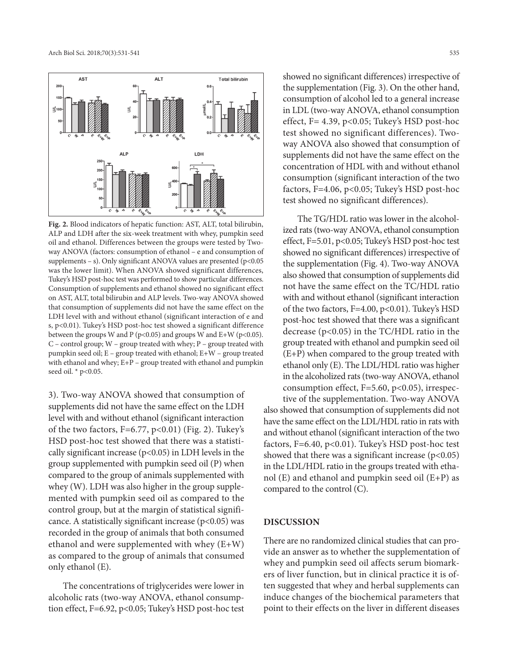

**Fig. 2.** Blood indicators of hepatic function: AST, ALT, total bilirubin, ALP and LDH after the six-week treatment with whey, pumpkin seed oil and ethanol. Differences between the groups were tested by Twoway ANOVA (factors: consumption of ethanol – e and consumption of supplements – s). Only significant ANOVA values are presented ( $p$ <0.05 was the lower limit). When ANOVA showed significant differences, Tukey's HSD post-hoc test was performed to show particular differences. Consumption of supplements and ethanol showed no significant effect on AST, ALT, total bilirubin and ALP levels. Two-way ANOVA showed that consumption of supplements did not have the same effect on the LDH level with and without ethanol (significant interaction of e and s, p<0.01). Tukey's HSD post-hoc test showed a significant difference between the groups W and P ( $p$ <0.05) and groups W and E+W ( $p$ <0.05). C – control group; W – group treated with whey; P – group treated with pumpkin seed oil; E – group treated with ethanol; E+W – group treated with ethanol and whey; E+P – group treated with ethanol and pumpkin seed oil. \* p<0.05.

3). Two-way ANOVA showed that consumption of supplements did not have the same effect on the LDH level with and without ethanol (significant interaction of the two factors,  $F=6.77$ ,  $p<0.01$ ) (Fig. 2). Tukey's HSD post-hoc test showed that there was a statistically significant increase (p<0.05) in LDH levels in the group supplemented with pumpkin seed oil (P) when compared to the group of animals supplemented with whey (W). LDH was also higher in the group supplemented with pumpkin seed oil as compared to the control group, but at the margin of statistical significance. A statistically significant increase ( $p$ <0.05) was recorded in the group of animals that both consumed ethanol and were supplemented with whey (E+W) as compared to the group of animals that consumed only ethanol (E).

The concentrations of triglycerides were lower in alcoholic rats (two-way ANOVA, ethanol consumption effect, F=6.92, p<0.05; Tukey's HSD post-hoc test showed no significant differences) irrespective of the supplementation (Fig. 3). On the other hand, consumption of alcohol led to a general increase in LDL (two-way ANOVA, ethanol consumption effect,  $F = 4.39$ ,  $p < 0.05$ ; Tukey's HSD post-hoc test showed no significant differences). Twoway ANOVA also showed that consumption of supplements did not have the same effect on the concentration of HDL with and without ethanol consumption (significant interaction of the two factors, F=4.06, p<0.05; Tukey's HSD post-hoc test showed no significant differences).

The TG/HDL ratio was lower in the alcoholized rats (two-way ANOVA, ethanol consumption effect, F=5.01, p<0.05; Tukey's HSD post-hoc test showed no significant differences) irrespective of the supplementation (Fig. 4). Two-way ANOVA also showed that consumption of supplements did not have the same effect on the TC/HDL ratio with and without ethanol (significant interaction of the two factors, F=4.00, p<0.01). Tukey's HSD post-hoc test showed that there was a significant decrease (p<0.05) in the TC/HDL ratio in the group treated with ethanol and pumpkin seed oil (E+P) when compared to the group treated with ethanol only (E). The LDL/HDL ratio was higher in the alcoholized rats (two-way ANOVA, ethanol consumption effect,  $F=5.60$ ,  $p<0.05$ ), irrespective of the supplementation. Two-way ANOVA

also showed that consumption of supplements did not have the same effect on the LDL/HDL ratio in rats with and without ethanol (significant interaction of the two factors, F=6.40, p<0.01). Tukey's HSD post-hoc test showed that there was a significant increase  $(p<0.05)$ in the LDL/HDL ratio in the groups treated with ethanol (E) and ethanol and pumpkin seed oil (E+P) as compared to the control (C).

#### **DISCUSSION**

There are no randomized clinical studies that can provide an answer as to whether the supplementation of whey and pumpkin seed oil affects serum biomarkers of liver function, but in clinical practice it is often suggested that whey and herbal supplements can induce changes of the biochemical parameters that point to their effects on the liver in different diseases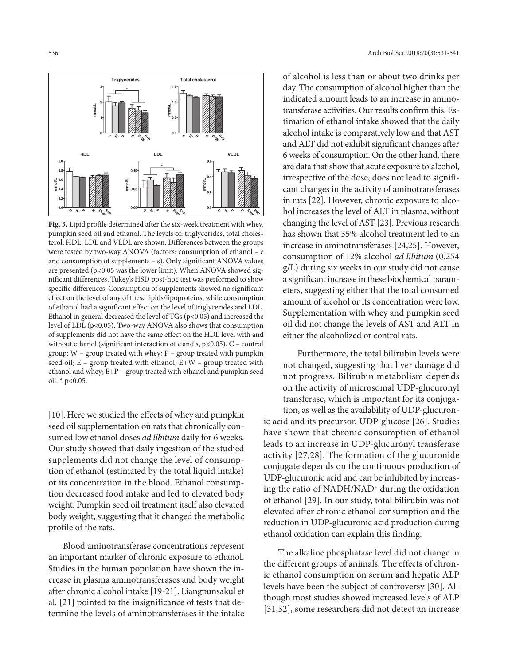

**Fig. 3.** Lipid profile determined after the six-week treatment with whey, pumpkin seed oil and ethanol. The levels of: triglycerides, total cholesterol, HDL, LDL and VLDL are shown. Differences between the groups were tested by two-way ANOVA (factors: consumption of ethanol – e and consumption of supplements – s). Only significant ANOVA values are presented (p<0.05 was the lower limit). When ANOVA showed significant differences, Tukey's HSD post-hoc test was performed to show specific differences. Consumption of supplements showed no significant effect on the level of any of these lipids/lipoproteins, while consumption of ethanol had a significant effect on the level of triglycerides and LDL. Ethanol in general decreased the level of  $TGs$  ( $p<0.05$ ) and increased the level of LDL (p<0.05). Two-way ANOVA also shows that consumption of supplements did not have the same effect on the HDL level with and without ethanol (significant interaction of e and s,  $p$ <0.05).  $C$  – control group; W – group treated with whey; P – group treated with pumpkin seed oil; E – group treated with ethanol; E+W – group treated with ethanol and whey; E+P – group treated with ethanol and pumpkin seed oil. \* p<0.05.

[10]. Here we studied the effects of whey and pumpkin seed oil supplementation on rats that chronically consumed low ethanol doses *ad libitum* daily for 6 weeks. Our study showed that daily ingestion of the studied supplements did not change the level of consumption of ethanol (estimated by the total liquid intake) or its concentration in the blood. Ethanol consumption decreased food intake and led to elevated body weight. Pumpkin seed oil treatment itself also elevated body weight, suggesting that it changed the metabolic profile of the rats.

Blood aminotransferase concentrations represent an important marker of chronic exposure to ethanol. Studies in the human population have shown the increase in plasma aminotransferases and body weight after chronic alcohol intake [19-21]. Liangpunsakul et al. [21] pointed to the insignificance of tests that determine the levels of aminotransferases if the intake

of alcohol is less than or about two drinks per day. The consumption of alcohol higher than the indicated amount leads to an increase in aminotransferase activities. Our results confirm this. Estimation of ethanol intake showed that the daily alcohol intake is comparatively low and that AST and ALT did not exhibit significant changes after 6 weeks of consumption. On the other hand, there are data that show that acute exposure to alcohol, irrespective of the dose, does not lead to significant changes in the activity of aminotransferases in rats [22]. However, chronic exposure to alcohol increases the level of ALT in plasma, without changing the level of AST [23]. Previous research has shown that 35% alcohol treatment led to an increase in aminotransferases [24,25]. However, consumption of 12% alcohol *ad libitum* (0.254 g/L) during six weeks in our study did not cause a significant increase in these biochemical parameters, suggesting either that the total consumed amount of alcohol or its concentration were low. Supplementation with whey and pumpkin seed oil did not change the levels of AST and ALT in either the alcoholized or control rats.

Furthermore, the total bilirubin levels were not changed, suggesting that liver damage did not progress. Bilirubin metabolism depends on the activity of microsomal UDP-glucuronyl transferase, which is important for its conjugation, as well as the availability of UDP-glucuronic acid and its precursor, UDP-glucose [26]. Studies have shown that chronic consumption of ethanol leads to an increase in UDP-glucuronyl transferase activity [27,28]. The formation of the glucuronide conjugate depends on the continuous production of UDP-glucuronic acid and can be inhibited by increasing the ratio of NADH/NAD+ during the oxidation of ethanol [29]. In our study, total bilirubin was not elevated after chronic ethanol consumption and the reduction in UDP-glucuronic acid production during ethanol oxidation can explain this finding.

The alkaline phosphatase level did not change in the different groups of animals. The effects of chronic ethanol consumption on serum and hepatic ALP levels have been the subject of controversy [30]. Although most studies showed increased levels of ALP [31,32], some researchers did not detect an increase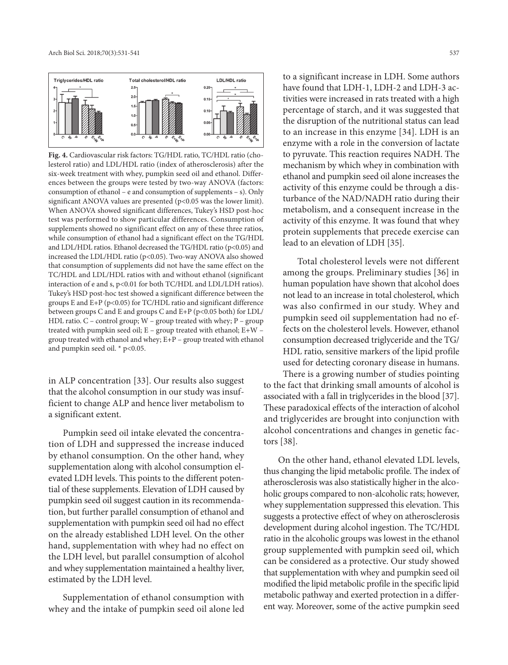

**Fig. 4.** Cardiovascular risk factors: TG/HDL ratio, TC/HDL ratio (cholesterol ratio) and LDL/HDL ratio (index of atherosclerosis) after the six-week treatment with whey, pumpkin seed oil and ethanol. Differences between the groups were tested by two-way ANOVA (factors: consumption of ethanol – e and consumption of supplements – s). Only significant ANOVA values are presented  $(p<0.05$  was the lower limit). When ANOVA showed significant differences, Tukey's HSD post-hoc test was performed to show particular differences. Consumption of supplements showed no significant effect on any of these three ratios, while consumption of ethanol had a significant effect on the TG/HDL and LDL/HDL ratios. Ethanol decreased the TG/HDL ratio (p<0.05) and increased the LDL/HDL ratio (p<0.05). Two-way ANOVA also showed that consumption of supplements did not have the same effect on the TC/HDL and LDL/HDL ratios with and without ethanol (significant interaction of e and s, p<0.01 for both TC/HDL and LDL/LDH ratios). Tukey's HSD post-hoc test showed a significant difference between the groups E and E+P ( $p$ <0.05) for TC/HDL ratio and significant difference between groups C and E and groups C and E+P (p<0.05 both) for LDL/ HDL ratio.  $C$  – control group;  $W$  – group treated with whey;  $P$  – group treated with pumpkin seed oil; E – group treated with ethanol; E+W – group treated with ethanol and whey; E+P – group treated with ethanol and pumpkin seed oil. \* p<0.05.

in ALP concentration [33]. Our results also suggest that the alcohol consumption in our study was insufficient to change ALP and hence liver metabolism to a significant extent.

Pumpkin seed oil intake elevated the concentration of LDH and suppressed the increase induced by ethanol consumption. On the other hand, whey supplementation along with alcohol consumption elevated LDH levels. This points to the different potential of these supplements. Elevation of LDH caused by pumpkin seed oil suggest caution in its recommendation, but further parallel consumption of ethanol and supplementation with pumpkin seed oil had no effect on the already established LDH level. On the other hand, supplementation with whey had no effect on the LDH level, but parallel consumption of alcohol and whey supplementation maintained a healthy liver, estimated by the LDH level.

Supplementation of ethanol consumption with whey and the intake of pumpkin seed oil alone led to a significant increase in LDH. Some authors have found that LDH-1, LDH-2 and LDH-3 activities were increased in rats treated with a high percentage of starch, and it was suggested that the disruption of the nutritional status can lead to an increase in this enzyme [34]. LDH is an enzyme with a role in the conversion of lactate to pyruvate. This reaction requires NADH. The mechanism by which whey in combination with ethanol and pumpkin seed oil alone increases the activity of this enzyme could be through a disturbance of the NAD/NADH ratio during their metabolism, and a consequent increase in the activity of this enzyme. It was found that whey protein supplements that precede exercise can lead to an elevation of LDH [35].

Total cholesterol levels were not different among the groups. Preliminary studies [36] in human population have shown that alcohol does not lead to an increase in total cholesterol, which was also confirmed in our study. Whey and pumpkin seed oil supplementation had no effects on the cholesterol levels. However, ethanol consumption decreased triglyceride and the TG/ HDL ratio, sensitive markers of the lipid profile used for detecting coronary disease in humans. There is a growing number of studies pointing

to the fact that drinking small amounts of alcohol is associated with a fall in triglycerides in the blood [37]. These paradoxical effects of the interaction of alcohol and triglycerides are brought into conjunction with alcohol concentrations and changes in genetic factors [38].

On the other hand, ethanol elevated LDL levels, thus changing the lipid metabolic profile. The index of atherosclerosis was also statistically higher in the alcoholic groups compared to non-alcoholic rats; however, whey supplementation suppressed this elevation. This suggests a protective effect of whey on atherosclerosis development during alcohol ingestion. The TC/HDL ratio in the alcoholic groups was lowest in the ethanol group supplemented with pumpkin seed oil, which can be considered as a protective. Our study showed that supplementation with whey and pumpkin seed oil modified the lipid metabolic profile in the specific lipid metabolic pathway and exerted protection in a different way. Moreover, some of the active pumpkin seed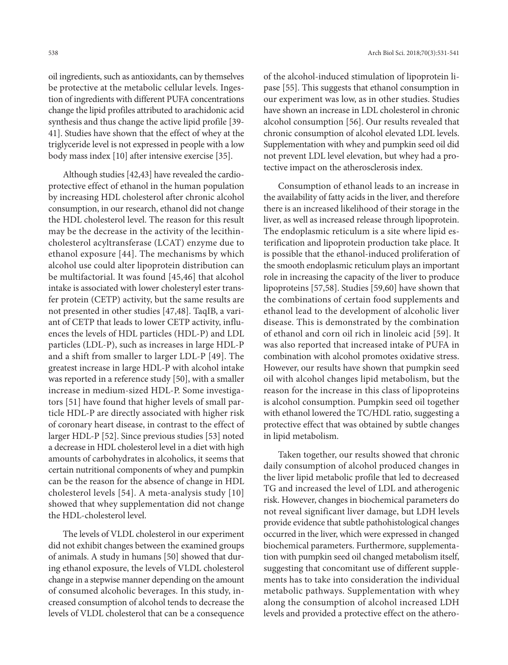oil ingredients, such as antioxidants, can by themselves be protective at the metabolic cellular levels. Ingestion of ingredients with different PUFA concentrations change the lipid profiles attributed to arachidonic acid synthesis and thus change the active lipid profile [39- 41]. Studies have shown that the effect of whey at the triglyceride level is not expressed in people with a low body mass index [10] after intensive exercise [35].

Although studies [42,43] have revealed the cardioprotective effect of ethanol in the human population by increasing HDL cholesterol after chronic alcohol consumption, in our research, ethanol did not change the HDL cholesterol level. The reason for this result may be the decrease in the activity of the lecithincholesterol acyltransferase (LCAT) enzyme due to ethanol exposure [44]. The mechanisms by which alcohol use could alter lipoprotein distribution can be multifactorial. It was found [45,46] that alcohol intake is associated with lower cholesteryl ester transfer protein (CETP) activity, but the same results are not presented in other studies [47,48]. TaqIB, a variant of CETP that leads to lower CETP activity, influences the levels of HDL particles (HDL-P) and LDL particles (LDL-P), such as increases in large HDL-P and a shift from smaller to larger LDL-P [49]. The greatest increase in large HDL-P with alcohol intake was reported in a reference study [50], with a smaller increase in medium-sized HDL-P. Some investigators [51] have found that higher levels of small particle HDL-P are directly associated with higher risk of coronary heart disease, in contrast to the effect of larger HDL-P [52]. Since previous studies [53] noted a decrease in HDL cholesterol level in a diet with high amounts of carbohydrates in alcoholics, it seems that certain nutritional components of whey and pumpkin can be the reason for the absence of change in HDL cholesterol levels [54]. A meta-analysis study [10] showed that whey supplementation did not change the HDL-cholesterol level.

The levels of VLDL cholesterol in our experiment did not exhibit changes between the examined groups of animals. A study in humans [50] showed that during ethanol exposure, the levels of VLDL cholesterol change in a stepwise manner depending on the amount of consumed alcoholic beverages. In this study, increased consumption of alcohol tends to decrease the levels of VLDL cholesterol that can be a consequence

of the alcohol-induced stimulation of lipoprotein lipase [55]. This suggests that ethanol consumption in our experiment was low, as in other studies. Studies have shown an increase in LDL cholesterol in chronic alcohol consumption [56]. Our results revealed that chronic consumption of alcohol elevated LDL levels. Supplementation with whey and pumpkin seed oil did not prevent LDL level elevation, but whey had a protective impact on the atherosclerosis index.

Consumption of ethanol leads to an increase in the availability of fatty acids in the liver, and therefore there is an increased likelihood of their storage in the liver, as well as increased release through lipoprotein. The endoplasmic reticulum is a site where lipid esterification and lipoprotein production take place. It is possible that the ethanol-induced proliferation of the smooth endoplasmic reticulum plays an important role in increasing the capacity of the liver to produce lipoproteins [57,58]. Studies [59,60] have shown that the combinations of certain food supplements and ethanol lead to the development of alcoholic liver disease. This is demonstrated by the combination of ethanol and corn oil rich in linoleic acid [59]. It was also reported that increased intake of PUFA in combination with alcohol promotes oxidative stress. However, our results have shown that pumpkin seed oil with alcohol changes lipid metabolism, but the reason for the increase in this class of lipoproteins is alcohol consumption. Pumpkin seed oil together with ethanol lowered the TC/HDL ratio, suggesting a protective effect that was obtained by subtle changes in lipid metabolism.

Taken together, our results showed that chronic daily consumption of alcohol produced changes in the liver lipid metabolic profile that led to decreased TG and increased the level of LDL and atherogenic risk. However, changes in biochemical parameters do not reveal significant liver damage, but LDH levels provide evidence that subtle pathohistological changes occurred in the liver, which were expressed in changed biochemical parameters. Furthermore, supplementation with pumpkin seed oil changed metabolism itself, suggesting that concomitant use of different supplements has to take into consideration the individual metabolic pathways. Supplementation with whey along the consumption of alcohol increased LDH levels and provided a protective effect on the athero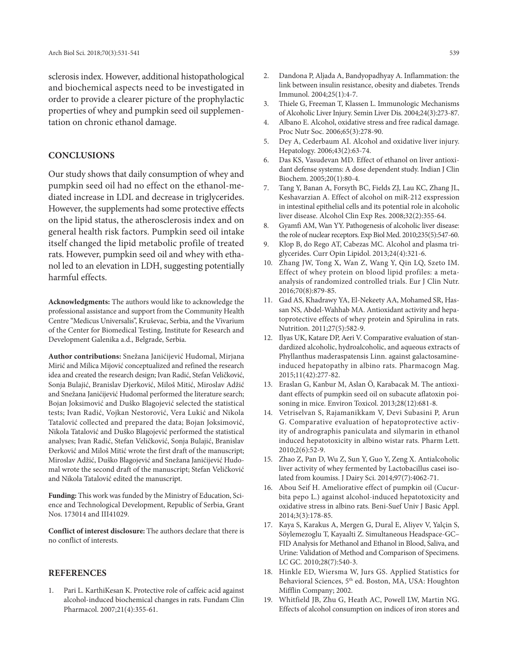sclerosis index. However, additional histopathological and biochemical aspects need to be investigated in order to provide a clearer picture of the prophylactic properties of whey and pumpkin seed oil supplementation on chronic ethanol damage.

### **CONCLUSIONS**

Our study shows that daily consumption of whey and pumpkin seed oil had no effect on the ethanol-mediated increase in LDL and decrease in triglycerides. However, the supplements had some protective effects on the lipid status, the atherosclerosis index and on general health risk factors. Pumpkin seed oil intake itself changed the lipid metabolic profile of treated rats. However, pumpkin seed oil and whey with ethanol led to an elevation in LDH, suggesting potentially harmful effects.

**Acknowledgments:** The authors would like to acknowledge the professional assistance and support from the Community Health Centre "Medicus Universalis", Kruševac, Serbia, and the Vivarium of the Center for Biomedical Testing, Institute for Research and Development Galenika a.d., Belgrade, Serbia.

**Author contributions:** Snežana Janićijević Hudomal, Mirjana Mirić and Milica Mijović conceptualized and refined the research idea and created the research design; Ivan Radić, Stefan Veličković, Sonja Bulajić, Branislav Djerković, Miloš Mitić, Miroslav Adžić and Snežana Janićijević Hudomal performed the literature search; Bojan Joksimović and Duško Blagojević selected the statistical tests; Ivan Radić, Vojkan Nestorović, Vera Lukić and Nikola Tatalović collected and prepared the data; Bojan Joksimović, Nikola Tatalović and Duško Blagojević performed the statistical analyses; Ivan Radić, Stefan Veličković, Sonja Bulajić, Branislav Đerković and Miloš Mitić wrote the first draft of the manuscript; Miroslav Adžić, Duško Blagojević and Snežana Janićijević Hudomal wrote the second draft of the manuscript; Stefan Veličković and Nikola Tatalović edited the manuscript.

**Funding:** This work was funded by the Ministry of Education, Science and Technological Development, Republic of Serbia, Grant Nos. 173014 and III41029.

**Conflict of interest disclosure:** The authors declare that there is no conflict of interests.

#### **REFERENCES**

1. Pari L. KarthiKesan K. Protective role of caffeic acid against alcohol-induced biochemical changes in rats. Fundam Clin Pharmacol. 2007;21(4):355-61.

- 2. Dandona P, Aljada A, Bandyopadhyay A. Inflammation: the link between insulin resistance, obesity and diabetes. Trends Immunol. 2004;25(1):4-7.
- 3. Thiele G, Freeman T, Klassen L. Immunologic Mechanisms of Alcoholic Liver Injury. Semin Liver Dis. 2004;24(3):273-87.
- 4. Albano E. Alcohol, oxidative stress and free radical damage. Proc Nutr Soc. 2006;65(3):278-90.
- 5. Dey A, Cederbaum AI. Alcohol and oxidative liver injury. Hepatology. 2006;43(2):63-74.
- 6. Das KS, Vasudevan MD. Effect of ethanol on liver antioxidant defense systems: A dose dependent study. Indian J Clin Biochem. 2005;20(1):80-4.
- 7. Tang Y, Banan A, Forsyth BC, Fields ZJ, Lau KC, Zhang JL, Keshavarzian A. Effect of alcohol on miR-212 exspression in intestinal epithelial cells and its potential role in alcoholic liver disease. Alcohol Clin Exp Res. 2008;32(2):355-64.
- 8. Gyamfi AM, Wan YY. Pathogenesis of alcoholic liver disease: the role of nuclear receptors. Exp Biol Med. 2010;235(5):547-60.
- 9. Klop B, do Rego AT, Cabezas MC. Alcohol and plasma triglycerides. Curr Opin Lipidol. 2013;24(4):321-6.
- 10. Zhang JW, Tong X, Wan Z, Wang Y, Qin LQ, Szeto IM. Effect of whey protein on blood lipid profiles: a metaanalysis of randomized controlled trials. Eur J Clin Nutr. 2016;70(8):879-85.
- 11. Gad AS, Khadrawy YA, El-Nekeety AA, Mohamed SR, Hassan NS, Abdel-Wahhab MA. Antioxidant activity and hepatoprotective effects of whey protein and Spirulina in rats. Nutrition. 2011;27(5):582-9.
- 12. Ilyas UK, Katare DP, Aeri V. Comparative evaluation of standardized alcoholic, hydroalcoholic, and aqueous extracts of Phyllanthus maderaspatensis Linn. against galactosamineinduced hepatopathy in albino rats. Pharmacogn Mag. 2015;11(42):277-82.
- 13. Eraslan G, Kanbur M, Aslan Ö, Karabacak M. The antioxidant effects of pumpkin seed oil on subacute aflatoxin poisoning in mice. Environ Toxicol. 2013;28(12):681-8.
- 14. Vetriselvan S, Rajamanikkam V, Devi Subasini P, Arun G. Comparative evaluation of hepatoprotective activity of andrographis paniculata and silymarin in ethanol induced hepatotoxicity in albino wistar rats. Pharm Lett. 2010;2(6):52-9.
- 15. Zhao Z, Pan D, Wu Z, Sun Y, Guo Y, Zeng X. Antialcoholic liver activity of whey fermented by Lactobacillus casei isolated from koumiss. J Dairy Sci. 2014;97(7):4062-71.
- 16. Abou Seif H. Ameliorative effect of pumpkin oil (Cucurbita pepo L.) against alcohol-induced hepatotoxicity and oxidative stress in albino rats. Beni-Suef Univ J Basic Appl. 2014;3(3):178-85.
- 17. Kaya S, Karakus A, Mergen G, Dural E, Aliyev V, Yalçin S, Söylemezoglu T, Kayaalti Z. Simultaneous Headspace-GC– FID Analysis for Methanol and Ethanol in Blood, Saliva, and Urine: Validation of Method and Comparison of Specimens. LC GC. 2010;28(7):540-3.
- 18. Hinkle ED, Wiersma W, Jurs GS. Applied Statistics for Behavioral Sciences, 5<sup>th</sup> ed. Boston, MA, USA: Houghton Mifflin Company; 2002.
- 19. Whitfield JB, Zhu G, Heath AC, Powell LW, Martin NG. Effects of alcohol consumption on indices of iron stores and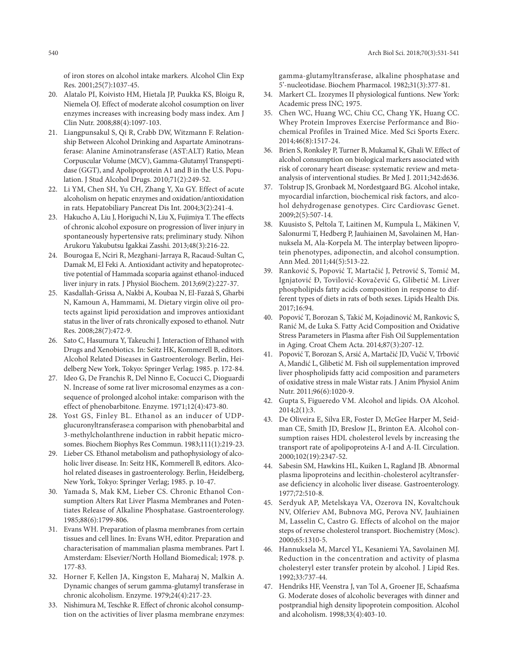of iron stores on alcohol intake markers. Alcohol Clin Exp Res. 2001;25(7):1037-45.

- 20. Alatalo PI, Koivisto HM, Hietala JP, Puukka KS, Bloigu R, Niemela OJ. Effect of moderate alcohol cosumption on liver enzymes increases with increasing body mass index. Am J Clin Nutr. 2008;88(4):1097-103.
- 21. Liangpunsakul S, Qi R, Crabb DW, Witzmann F. Relationship Between Alcohol Drinking and Aspartate Aminotransferase: Alanine Aminotransferase (AST:ALT) Ratio, Mean Corpuscular Volume (MCV), Gamma-Glutamyl Transpeptidase (GGT), and Apolipoprotein A1 and B in the U.S. Population. J Stud Alcohol Drugs. 2010;71(2):249-52.
- 22. Li YM, Chen SH, Yu CH, Zhang Y, Xu GY. Effect of acute alcoholism on hepatic enzymes and oxidation/antioxidation in rats. Hepatobiliary Pancreat Dis Int. 2004;3(2):241-4.
- 23. Hakucho A, Liu J, Horiguchi N, Liu X, Fujimiya T. The effects of chronic alcohol exposure on progression of liver injury in spontaneously hypertensive rats; preliminary study. Nihon Arukoru Yakubutsu Igakkai Zasshi. 2013;48(3):216-22.
- 24. Bourogaa E, Nciri R, Mezghani-Jarraya R, Racaud-Sultan C, Damak M, El Feki A. Antioxidant activity and hepatoprotective potential of Hammada scoparia against ethanol-induced liver injury in rats. J Physiol Biochem. 2013;69(2):227-37.
- 25. Kasdallah-Grissa A, Nakbi A, Koubaa N, El-Fazaâ S, Gharbi N, Kamoun A, Hammami, M. Dietary virgin olive oil protects against lipid peroxidation and improves antioxidant status in the liver of rats chronically exposed to ethanol. Nutr Res. 2008;28(7):472-9.
- 26. Sato C, Hasumura Y, Takeuchi J. Interaction of Ethanol with Drugs and Xenobiotics. In: Seitz HK, Kommerell B, editors. Alcohol Related Diseases in Gastroenterology. Berlin, Heidelberg New York, Tokyo: Springer Verlag; 1985. p. 172-84.
- 27. Ideo G, De Franchis R, Del Ninno E, Cocucci C, Dioguardi N. Increase of some rat liver microsomal enzymes as a consequence of prolonged alcohol intake: comparison with the effect of phenobarbitone. Enzyme. 1971;12(4):473-80.
- 28. Yost GS, Finley BL. Ethanol as an inducer of UDPglucuronyltransferase:a comparison with phenobarbital and 3-methylcholanthrene induction in rabbit hepatic microsomes. Biochem Biophys Res Commun. 1983;111(1):219-23.
- 29. Lieber CS. Ethanol metabolism and pathophysiology of alcoholic liver disease. In: Seitz HK, Kommerell B, editors. Alcohol related diseases in gastroenterology. Berlin, Heidelberg, New York, Tokyo: Springer Verlag; 1985. p. 10-47.
- 30. Yamada S, Mak KM, Lieber CS. Chronic Ethanol Consumption Alters Rat Liver Plasma Membranes and Potentiates Release of Alkaline Phosphatase. Gastroenterology. 1985;88(6):1799-806.
- 31. Evans WH. Preparation of plasma membranes from certain tissues and cell lines. In: Evans WH, editor. Preparation and characterisation of mammalian plasma membranes. Part I. Amsterdam: Elsevier/North Holland Biomedical; 1978. p. 177-83.
- 32. Horner F, Kellen JA, Kingston E, Maharaj N, Malkin A. Dynamic changes of serum gamma-glutamyl transferase in chronic alcoholism. Enzyme. 1979;24(4):217-23.
- 33. Nishimura M, Teschke R. Effect of chronic alcohol consumption on the activities of liver plasma membrane enzymes:

gamma-glutamyltransferase, alkaline phosphatase and 5'-nucleotidase. Biochem Pharmacol. 1982;31(3):377-81.

- 34. Markert CL. Izozymes II physiological funtions. New York: Academic press INC; 1975.
- 35. Chen WC, Huang WC, Chiu CC, Chang YK, Huang CC. Whey Protein Improves Exercise Performance and Biochemical Profiles in Trained Mice. Med Sci Sports Exerc. 2014;46(8):1517-24.
- 36. Brien S, Ronksley P, Turner B, Mukamal K, Ghali W. Effect of alcohol consumption on biological markers associated with risk of coronary heart disease: systematic review and metaanalysis of interventional studies. Br Med J. 2011;342:d636.
- 37. Tolstrup JS, Gronbaek M, Nordestgaard BG. Alcohol intake, myocardial infarction, biochemical risk factors, and alcohol dehydrogenase genotypes. Circ Cardiovasc Genet. 2009;2(5):507-14.
- 38. Kuusisto S, Peltola T, Laitinen M, Kumpula L, Mäkinen V, Salonurmi T, Hedberg P, Jauhiainen M, Savolainen M, Hannuksela M, Ala-Korpela M. The interplay between lipoprotein phenotypes, adiponectin, and alcohol consumption. Ann Med. 2011;44(5):513-22.
- 39. Ranković S, Popović T, Martačić J, Petrović S, Tomić M, Ignjatović Đ, Tovilović-Kovačević G, Glibetić M. Liver phospholipids fatty acids composition in response to different types of diets in rats of both sexes. Lipids Health Dis. 2017;16:94.
- 40. Popović T, Borozan S, Takić M, Kojadinović M, Rankovic S, Ranić M, de Luka S. Fatty Acid Composition and Oxidative Stress Parameters in Plasma after Fish Oil Supplementation in Aging. Croat Chem Acta. 2014;87(3):207-12.
- 41. Popović T, Borozan S, Arsić A, Martačić JD, Vučić V, Trbović A, Mandić L, Glibetić M. Fish oil supplementation improved liver phospholipids fatty acid composition and parameters of oxidative stress in male Wistar rats. J Anim Physiol Anim Nutr. 2011;96(6):1020-9.
- 42. Gupta S, Figueredo VM. Alcohol and lipids. OA Alcohol. 2014;2(1):3.
- 43. De Oliveira E, Silva ER, Foster D, McGee Harper M, Seidman CE, Smith JD, Breslow JL, Brinton EA. Alcohol consumption raises HDL cholesterol levels by increasing the transport rate of apolipoproteins A-I and A-II. Circulation. 2000;102(19):2347-52.
- 44. Sabesin SM, Hawkins HL, Kuiken L, Ragland JB. Abnormal plasma lipoproteins and lecithin-cholesterol acyltransferase deficiency in alcoholic liver disease. Gastroenterology. 1977;72:510-8.
- 45. Serdyuk AP, Metelskaya VA, Ozerova IN, Kovaltchouk NV, Olferiev AM, Bubnova MG, Perova NV, Jauhiainen M, Lasselin C, Castro G. Effects of alcohol on the major steps of reverse cholesterol transport. Biochemistry (Mosc). 2000;65:1310-5.
- 46. Hannuksela M, Marcel YL, Kesaniemi YA, Savolainen MJ. Reduction in the concentration and activity of plasma cholesteryl ester transfer protein by alcohol. J Lipid Res. 1992;33:737-44.
- 47. Hendriks HF, Veenstra J, van Tol A, Groener JE, Schaafsma G. Moderate doses of alcoholic beverages with dinner and postprandial high density lipoprotein composition. Alcohol and alcoholism. 1998;33(4):403-10.